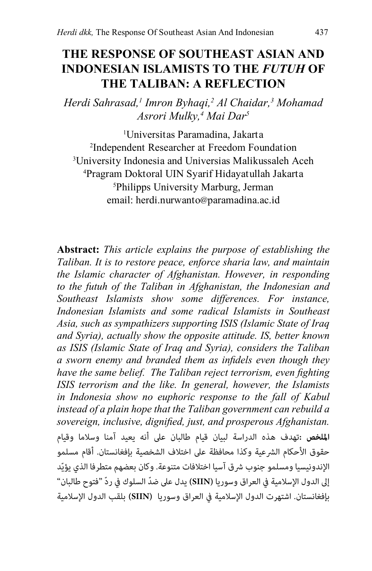# <span id="page-0-0"></span>**THE RESPONSE OF SOUTHEAST ASIAN AND INDONESIAN ISLAMISTS TO THE** *FUTUH* **OF THE TALIBAN: A Reflection**

*Herdi Sahrasad,1 Imron Byhaqi,2 Al Chaidar,3 Mohamad Asrori Mulky,4 Mai Dar5*

 Universitas Paramadina, Jakarta Independent Researcher at Freedom Foundation University Indonesia and Universias Malikussaleh Aceh Pragram Doktoral UIN Syarif Hidayatullah Jakarta Philipps University Marburg, Jerman email: herdi.nurwanto@[paramadina.ac.id](mailto:herdi.nurwanto@paramadina.ac.id)

**Abstract:** *This article explains the purpose of establishing the Taliban. It is to restore peace, enforce sharia law, and maintain the Islamic character of Afghanistan. However, in responding to the futuh of the Taliban in Afghanistan, the Indonesian and Southeast Islamists show some differences. For instance, Indonesian Islamists and some radical Islamists in Southeast Asia, such as sympathizers supporting ISIS (Islamic State of Iraq and Syria), actually show the opposite attitude. IS, better known as ISIS (Islamic State of Iraq and Syria), considers the Taliban a sworn enemy and branded them as infidels even though they have the same belief. The Taliban reject terrorism, even fighting ISIS terrorism and the like. In general, however, the Islamists in Indonesia show no euphoric response to the fall of Kabul instead of a plain hope that the Taliban government can rebuild a sovereign, inclusive, dignified, just, and prosperous Afghanistan.* **امللخص :**تهدف هذه الدراسة لبيان قيام طالبان عىل أنه يعيد آمنا وسالما وقيام حقوق الأحكام الشرعية وكذا محافظة على اختلاف الشخصية بإفغانستان. أقام مسلمو الإندونيسيا ومسلمو جنوب شرق آسيا اختلافات متنوعة. وكان بعضهم متطرفا الذي يؤيّد إىل الدول اإلسالمية يف العراق وسوريا **)SIIN )**يدل عىل ّضدالسلوك يف ّرد "فتوح طالبان" بإفغانستان. اشتهرت الدول اإلسالمية يف العراق وسوريا **)SIIN )**بلقب الدول اإلسالمية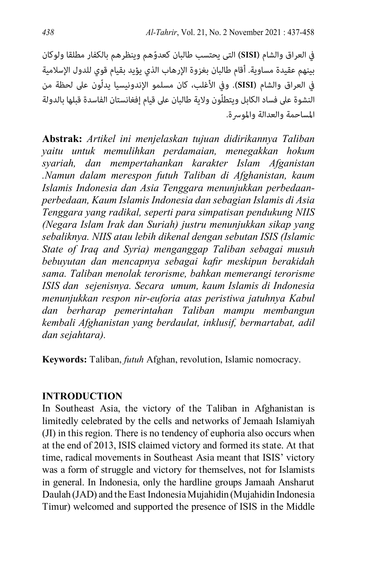في العراق والشام <mark>(SISI)</mark> التى يحتسب طالبان كعدوّهم وينظرهم بالكفار مطلقا ولوكان بينهم عقيدة مساوية. أقام طالبان بغزوة الإرهاب الذي يؤيد بقيام قوي للدول الإسلامية في العراق والشام **(SISI)**. وفي الأغلب، كان مسلمو الإندونيسيا يدلّون على لحظة من النشوة على فساد الكابل ويتطلّون ولاية طالبان على قيام إفغانستان الفاسدة قبلها بالدولة املساحمة والعدالة واملورسة.

**Abstrak:** *Artikel ini menjelaskan tujuan didirikannya Taliban yaitu untuk memulihkan perdamaian, menegakkan hokum syariah, dan mempertahankan karakter Islam Afganistan .Namun dalam merespon futuh Taliban di Afghanistan, kaum Islamis Indonesia dan Asia Tenggara menunjukkan perbedaanperbedaan, Kaum Islamis Indonesia dan sebagian Islamis di Asia Tenggara yang radikal, seperti para simpatisan pendukung NIIS (Negara Islam Irak dan Suriah) justru menunjukkan sikap yang sebaliknya. NIIS atau lebih dikenal dengan sebutan ISIS (Islamic State of Iraq and Syria) menganggap Taliban sebagai musuh bebuyutan dan mencapnya sebagai kafir meskipun berakidah sama. Taliban menolak terorisme, bahkan memerangi terorisme ISIS dan sejenisnya. Secara umum, kaum Islamis di Indonesia menunjukkan respon nir-euforia atas peristiwa jatuhnya Kabul dan berharap pemerintahan Taliban mampu membangun kembali Afghanistan yang berdaulat, inklusif, bermartabat, adil dan sejahtara).*

**Keywords:** Taliban, *futuh* Afghan, revolution, Islamic nomocracy.

# **INTRODUCTION**

In Southeast Asia, the victory of the Taliban in Afghanistan is limitedly celebrated by the cells and networks of Jemaah Islamiyah (JI) in this region. There is no tendency of euphoria also occurs when at the end of 2013, ISIS claimed victory and formed its state. At that time, radical movements in Southeast Asia meant that ISIS' victory was a form of struggle and victory for themselves, not for Islamists in general. In Indonesia, only the hardline groups Jamaah Ansharut Daulah (JAD) and the East Indonesia Mujahidin (Mujahidin Indonesia Timur) welcomed and supported the presence of ISIS in the Middle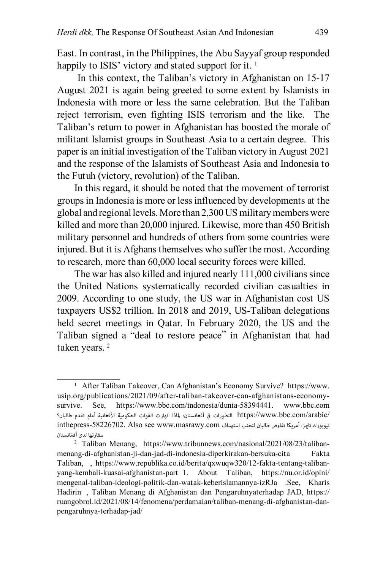East. In contrast, in the Philippines, the Abu Sayyaf group responded happily to ISIS' victory and stated support for it.<sup>1</sup>

 In this context, the Taliban's victory in Afghanistan on 15-17 August 2021 is again being greeted to some extent by Islamists in Indonesia with more or less the same celebration. But the Taliban reject terrorism, even fighting ISIS terrorism and the like. The Taliban's return to power in Afghanistan has boosted the morale of militant Islamist groups in Southeast Asia to a certain degree. This paper is an initial investigation of the Taliban victory in August 2021 and the response of the Islamists of Southeast Asia and Indonesia to the Futuh (victory, revolution) of the Taliban.

In this regard, it should be noted that the movement of terrorist groups in Indonesia is more or less influenced by developments at the global and regional levels. More than 2,300 US military members were killed and more than 20,000 injured. Likewise, more than 450 British military personnel and hundreds of others from some countries were injured. But it is Afghans themselves who suffer the most. According to research, more than 60,000 local security forces were killed.

The war has also killed and injured nearly 111,000 civilians since the United Nations systematically recorded civilian casualties in 2009. According to one study, the US war in Afghanistan cost US taxpayers US\$2 trillion. In 2018 and 2019, US-Taliban delegations held secret meetings in Qatar. In February 2020, the US and the Taliban signed a "deal to restore peace" in Afghanistan that had taken years.<sup>2</sup>

<sup>&</sup>lt;sup>1</sup> After Taliban Takeover, Can Afghanistan's Economy Survive? [https://www.](https://www.usip.org/publications/2021/09/after-taliban-takeover-can-afghanistans-economy-survive) [usip.org/publications/2021/09/after-taliban-takeover-can-afghanistans-economy](https://www.usip.org/publications/2021/09/after-taliban-takeover-can-afghanistans-economy-survive)[survive.](https://www.usip.org/publications/2021/09/after-taliban-takeover-can-afghanistans-economy-survive) See, <https://www.bbc.com/indonesia/dunia-58394441>. www.bbc.com [/arabic/com.bbc.www://https](https://www.bbc.com/arabic/inthepress-58226702) .التطورات يف أفغانستان: ملاذا انهارت القوات الحكومية األفغانية أمام تقدم طالبان؟ inthepress[-58226702](https://www.bbc.com/arabic/inthepress-58226702). Also see www.masrawy.com سفارتها لدى أفغانستان

<sup>2</sup> Taliban Menang, [https://www.tribunnews.com/nasional/2021/08/23/taliban](https://www.tribunnews.com/nasional/2021/08/23/taliban-menang-di-afghanistan-ji-dan-jad-di-indonesia-diperkirakan-bersuka-cita)[menang-di-afghanistan-ji-dan-jad-di-indonesia-diperkirakan-bersuka-cita](https://www.tribunnews.com/nasional/2021/08/23/taliban-menang-di-afghanistan-ji-dan-jad-di-indonesia-diperkirakan-bersuka-cita) Fakta Taliban, , [https://www.republika.co.id/berita/qxwuqw320/12-fakta-tentang-taliban](https://www.republika.co.id/berita/qxwuqw320/12-fakta-tentang-taliban-yang-kembali-kuasai-afghanistan-part 1)[yang-kembali-kuasai-afghanistan-part 1.](https://www.republika.co.id/berita/qxwuqw320/12-fakta-tentang-taliban-yang-kembali-kuasai-afghanistan-part 1) About Taliban, [https://nu.or.id/opini/](https://nu.or.id/opini/mengenal-taliban-ideologi-politik-dan-watak-keberislamannya-izRJa .See) [mengenal-taliban-ideologi-politik-dan-watak-keberislamannya-izRJa .See](https://nu.or.id/opini/mengenal-taliban-ideologi-politik-dan-watak-keberislamannya-izRJa .See), [Kharis](https://ruangobrol.id/author/kharis-hadirin/)  [Hadirin](https://ruangobrol.id/author/kharis-hadirin/) , Taliban Menang di Afghanistan dan Pengaruhnyaterhadap JAD, [https://](https://ruangobrol.id/2021/08/14/fenomena/perdamaian/taliban-menang-di-afghanistan-dan-pengaruhnya-terhadap-jad/) [ruangobrol.id/2021/08/14/fenomena/perdamaian/taliban-menang-di-afghanistan-dan](https://ruangobrol.id/2021/08/14/fenomena/perdamaian/taliban-menang-di-afghanistan-dan-pengaruhnya-terhadap-jad/)[pengaruhnya-terhadap-jad/](https://ruangobrol.id/2021/08/14/fenomena/perdamaian/taliban-menang-di-afghanistan-dan-pengaruhnya-terhadap-jad/)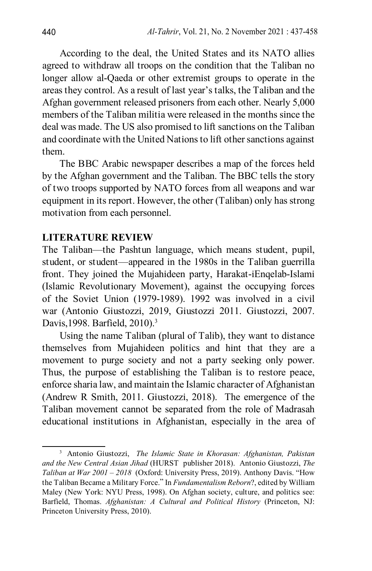According to the deal, the United States and its NATO allies agreed to withdraw all troops on the condition that the Taliban no longer allow al-Qaeda or other extremist groups to operate in the areas they control. As a result of last year's talks, the Taliban and the Afghan government released prisoners from each other. Nearly 5,000 members of the Taliban militia were released in the months since the deal was made. The US also promised to lift sanctions on the Taliban and coordinate with the United Nations to lift other sanctions against them.

The BBC Arabic newspaper describes a map of the forces held by the Afghan government and the Taliban. The BBC tells the story of two troops supported by NATO forces from all weapons and war equipment in its report. However, the other (Taliban) only has strong motivation from each personnel.

# **LITERATURE REVIEW**

The Taliban—the Pashtun language, which means student, pupil, student, or student—appeared in the 1980s in the Taliban guerrilla front. They joined the Mujahideen party, Harakat-iEnqelab-Islami (Islamic Revolutionary Movement), against the occupying forces of the Soviet Union (1979-1989). 1992 was involved in a civil war (Antonio Giustozzi, 2019, Giustozzi 2011. Giustozzi, 2007. Davis, 1998. Barfield, 2010).<sup>3</sup>

Using the name Taliban (plural of Talib), they want to distance themselves from Mujahideen politics and hint that they are a movement to purge society and not a party seeking only power. Thus, the purpose of establishing the Taliban is to restore peace, enforce sharia law, and maintain the Islamic character of Afghanistan (Andrew R Smith, 2011. Giustozzi, 2018). The emergence of the Taliban movement cannot be separated from the role of Madrasah educational institutions in Afghanistan, especially in the area of

<sup>3</sup> Antonio Giustozzi, *The Islamic State in Khorasan: Afghanistan, Pakistan and the New Central Asian Jihad* (HURST publisher 2018). Antonio Giustozzi, *The Taliban at War 2001 – 2018* (Oxford: University Press, 2019). Anthony Davis. "How the Taliban Became a Military Force." In *Fundamentalism Reborn*?, edited by William Maley (New York: NYU Press, 1998). On Afghan society, culture, and politics see: Barfield, Thomas. *Afghanistan: A Cultural and Political History* (Princeton, NJ: Princeton University Press, 2010).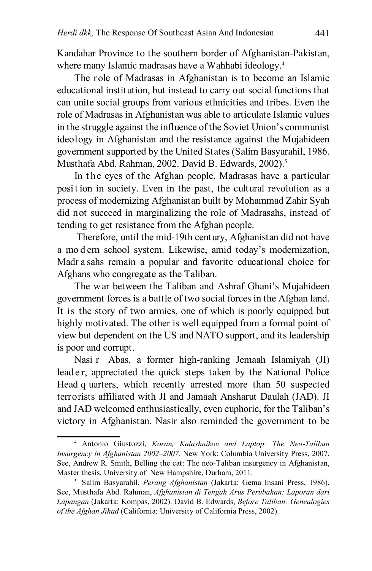Kandahar Province to the southern border of Afghanistan-Pakistan, where many Islamic madrasas have a Wahhabi ideology.<sup>4</sup>

The role of Madrasas in Afghanistan is to become an Islamic educational institution, but instead to carry out social functions that can unite social groups from various ethnicities and tribes. Even the role of Madrasas in Afghanistan was able to articulate Islamic values in the struggle against the influence of the Soviet Union's communist ideology in Afghanistan and the resistance against the Mujahideen government supported by the United States (Salim Basyarahil, 1986. Musthafa Abd. Rahman, 2002. David B. Edwards, 2002).5

In the eyes of the Afghan people, Madrasas have a particular position in society. Even in the past, the cultural revolution as a process of modernizing Afghanistan built by Mohammad Zahir Syah did not succeed in marginalizing the role of Madrasahs, instead of tending to get resistance from the Afghan people.

Therefore, until the mid-19th century, Afghanistan did not have a mo d ern school system. Likewise, amid today's modernization, Madr a sahs remain a popular and favorite educational choice for Afghans who congregate as the Taliban.

The war between the Taliban and Ashraf Ghani's Mujahideen government forces is a battle of two social forces in the Afghan land. It is the story of two armies, one of which is poorly equipped but highly motivated. The other is well equipped from a formal point of view but dependent on the US and NATO support, and its leadership is poor and corrupt.

Nasi r Abas, a former high-ranking Jemaah Islamiyah (JI) lead e r, appreciated the quick steps taken by the National Police Head q uarters, which recently arrested more than 50 suspected terrorists affiliated with JI and Jamaah Ansharut Daulah (JAD). JI and JAD welcomed enthusiastically, even euphoric, for the Taliban's victory in Afghanistan. Nasir also reminded the government to be

<sup>4</sup> Antonio Giustozzi, *Koran, Kalashnikov and Laptop: The Neo-Taliban Insurgency in Afghanistan 2002–2007.* New York: Columbia University Press, 2007. See, Andrew R. Smith, Belling the cat: The neo-Taliban insurgency in Afghanistan, Master thesis, University of New Hampshire, Durham, 2011.

<sup>5</sup> Salim Basyarahil, *Perang Afghanistan* (Jakarta: Gema Insani Press, 1986). See, Musthafa Abd. Rahman, *Afghanistan di Tengah Arus Perubahan: Laporan dari Lapangan* (Jakarta: Kompas, 2002). David B. Edwards, *Before Taliban: Genealogies of the Afghan Jihad* (California: University of California Press, 2002).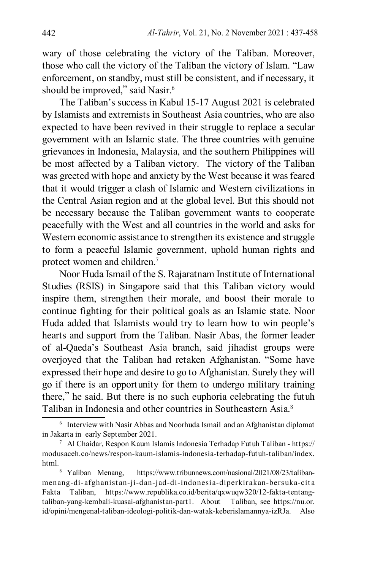wary of those celebrating the victory of the Taliban. Moreover, those who call the victory of the Taliban the victory of Islam. "Law enforcement, on standby, must still be consistent, and if necessary, it should be improved," said Nasir.<sup>6</sup>

The Taliban's success in Kabul 15-17 August 2021 is celebrated by Islamists and extremists in Southeast Asia countries, who are also expected to have been revived in their struggle to replace a secular government with an Islamic state. The three countries with genuine grievances in Indonesia, Malaysia, and the southern Philippines will be most affected by a Taliban victory. The victory of the Taliban was greeted with hope and anxiety by the West because it was feared that it would trigger a clash of Islamic and Western civilizations in the Central Asian region and at the global level. But this should not be necessary because the Taliban government wants to cooperate peacefully with the West and all countries in the world and asks for Western economic assistance to strengthen its existence and struggle to form a peaceful Islamic government, uphold human rights and protect women and children.7

Noor Huda Ismail of the S. Rajaratnam Institute of International Studies (RSIS) in Singapore said that this Taliban victory would inspire them, strengthen their morale, and boost their morale to continue fighting for their political goals as an Islamic state. Noor Huda added that Islamists would try to learn how to win people's hearts and support from the Taliban. Nasir Abas, the former leader of al-Qaeda's Southeast Asia branch, said jihadist groups were overjoyed that the Taliban had retaken Afghanistan. "Some have expressed their hope and desire to go to Afghanistan. Surely they will go if there is an opportunity for them to undergo military training there," he said. But there is no such euphoria celebrating the futuh Taliban in Indonesia and other countries in Southeastern Asia.8

[menang-di-afghanistan-ji-dan-jad-di-indonesia-diperkirakan-bersuka-cita](https://www.tribunnews.com/nasional/2021/08/23/taliban-menang-di-afghanistan-ji-dan-jad-di-indonesia-diperkirakan-bersuka-cita) Fakta Taliban, [https://www.republika.co.id/berita/qxwuqw320/12-fakta-tentang](https://www.republika.co.id/berita/qxwuqw320/12-fakta-tentang-taliban-yang-kembali-kuasai-afghanistan-part1)[taliban-yang-kembali-kuasai-afghanistan-part1.](https://www.republika.co.id/berita/qxwuqw320/12-fakta-tentang-taliban-yang-kembali-kuasai-afghanistan-part1) About Taliban, see [https://nu.or.](https://nu.or.id/opini/mengenal-taliban-ideologi-politik-dan-watak-keberislamannya-izRJa. Also see) [id/opini/mengenal-taliban-ideologi-politik-dan-watak-keberislamannya-izRJa. Also](https://nu.or.id/opini/mengenal-taliban-ideologi-politik-dan-watak-keberislamannya-izRJa. Also see) 

<sup>6</sup> Interview with Nasir Abbas and Noorhuda Ismail and an Afghanistan diplomat in Jakarta in early September 2021.

<sup>7</sup> Al Chaidar, Respon Kaum Islamis Indonesia Terhadap Futuh Taliban - [https://](https://modusaceh.co/news/respon-kaum-islamis-indonesia-terhadap-futuh-taliban/index.html) [modusaceh.co/news/respon-kaum-islamis-indonesia-terhadap-futuh-taliban/index.](https://modusaceh.co/news/respon-kaum-islamis-indonesia-terhadap-futuh-taliban/index.html) [html](https://modusaceh.co/news/respon-kaum-islamis-indonesia-terhadap-futuh-taliban/index.html).<br><sup>8</sup> Yaliban Menang, [https://www.tribunnews.com/nasional/2021/08/23/taliban-](https://www.tribunnews.com/nasional/2021/08/23/taliban-menang-di-afghanistan-ji-dan-jad-di-indonesia-diperkirakan-bersuka-cita)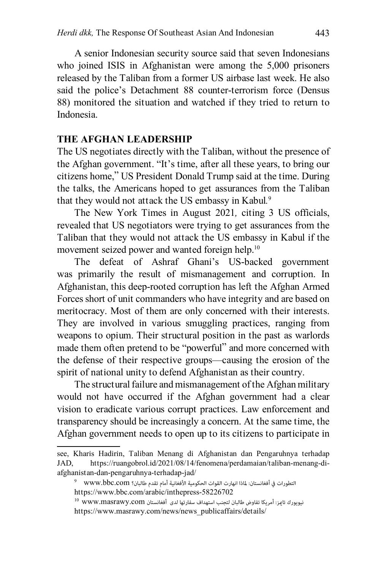A senior Indonesian security source said that seven Indonesians who joined ISIS in Afghanistan were among the 5,000 prisoners released by the Taliban from a former US airbase last week. He also said the police's Detachment 88 counter-terrorism force (Densus 88) monitored the situation and watched if they tried to return to Indonesia.

# **THE AFGHAN LEADERSHIP**

The US negotiates directly with the Taliban, without the presence of the Afghan government. "It's time, after all these years, to bring our citizens home," US President Donald Trump said at the time. During the talks, the Americans hoped to get assurances from the Taliban that they would not attack the US embassy in Kabul*.* 9

The New York Times in August 2021*,* citing 3 US officials, revealed that US negotiators were trying to get assurances from the Taliban that they would not attack the US embassy in Kabul if the movement seized power and wanted foreign help.<sup>10</sup>

The defeat of Ashraf Ghani's US-backed government was primarily the result of mismanagement and corruption. In Afghanistan, this deep-rooted corruption has left the Afghan Armed Forces short of unit commanders who have integrity and are based on meritocracy. Most of them are only concerned with their interests. They are involved in various smuggling practices, ranging from weapons to opium. Their structural position in the past as warlords made them often pretend to be "powerful" and more concerned with the defense of their respective groups—causing the erosion of the spirit of national unity to defend Afghanistan as their country.

The structural failure and mismanagement of the Afghan military would not have occurred if the Afghan government had a clear vision to eradicate various corrupt practices. Law enforcement and transparency should be increasingly a concern. At the same time, the Afghan government needs to open up to its citizens to participate in

[see,](https://nu.or.id/opini/mengenal-taliban-ideologi-politik-dan-watak-keberislamannya-izRJa. Also see) [Kharis Hadirin](https://ruangobrol.id/author/kharis-hadirin/), Taliban Menang di Afghanistan dan Pengaruhnya terhadap JAD, [https://ruangobrol.id/2021/08/14/fenomena/perdamaian/taliban-menang-di](https://ruangobrol.id/2021/08/14/fenomena/perdamaian/taliban-menang-di-afghanistan-dan-pengaruhnya-terhadap-jad/)[afghanistan-dan-pengaruhnya-terhadap-jad/](https://ruangobrol.id/2021/08/14/fenomena/perdamaian/taliban-menang-di-afghanistan-dan-pengaruhnya-terhadap-jad/)

 $^{9}$  www.bbc.com ألتطورات في أفغانستان: لماذا انهارت القوات الحكومية الأفغانية أمام تقدم طالبان؟ <https://www.bbc.com/arabic/inthepress-58226702>

 $^{10}$  WWW.masrawy.com نيويورك تاميز: أمريكا تفاوض طالبان لتجنب استهداف سفارتها لدى أفغانستان [https://www.masrawy.com/news/news\\_publicaffairs/details/](https://www.masrawy.com/news/news_publicaffairs/details/2021/8/13/2071924/%D9%86%D9%8A%D9%88%D9%8A%D9%88%D8%B1%D9%83-%D8%AA%D8%A7%D9%8A%D9%85%D8%B2-%D8%A3%D9%85%D8%B1%D9%8A%D9%83%D8%A7-%D8%AA%D9%81%D8%A7%D9%88%D8%B6-%D8%B7%D8%A7%D9%84%D8%A8%D8%A7%D9%86-%D9%84%D8%AA%D8%AC%D9%86%D8%A8-%D8%A7%D8%B3%D8%AA%D9%87%D8%AF%D8%A7%D9%81-%D8%B3%D9%81%D8%A7%D8%B1%D8%AA%D9%87%D8%A7-%D9%84%D8%AF%D9%89-%D8%A3%D9%81%D8%BA%D8%A7%D9%86%D8%B3%D8%AA%D8%A7%D9%86)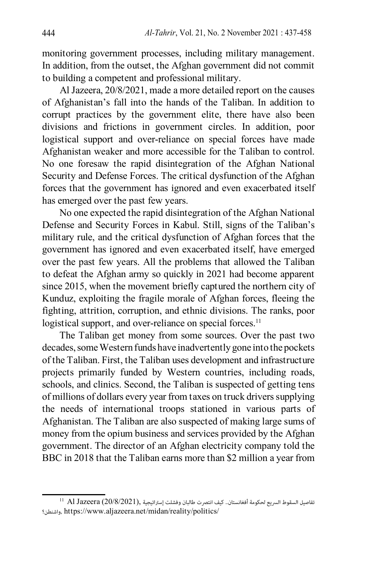monitoring government processes, including military management. In addition, from the outset, the Afghan government did not commit to building a competent and professional military.

Al Jazeera, 20/8/2021, made a more detailed report on the causes of Afghanistan's fall into the hands of the Taliban. In addition to corrupt practices by the government elite, there have also been divisions and frictions in government circles. In addition, poor logistical support and over-reliance on special forces have made Afghanistan weaker and more accessible for the Taliban to control. No one foresaw the rapid disintegration of the Afghan National Security and Defense Forces. The critical dysfunction of the Afghan forces that the government has ignored and even exacerbated itself has emerged over the past few years.

No one expected the rapid disintegration of the Afghan National Defense and Security Forces in Kabul. Still, signs of the Taliban's military rule, and the critical dysfunction of Afghan forces that the government has ignored and even exacerbated itself, have emerged over the past few years. All the problems that allowed the Taliban to defeat the Afghan army so quickly in 2021 had become apparent since 2015, when the movement briefly captured the northern city of Kunduz, exploiting the fragile morale of Afghan forces, fleeing the fighting, attrition, corruption, and ethnic divisions. The ranks, poor logistical support, and over-reliance on special forces.<sup>11</sup>

The Taliban get money from some sources. Over the past two decades, some Western funds have inadvertently gone into the pockets of the Taliban. First, the Taliban uses development and infrastructure projects primarily funded by Western countries, including roads, schools, and clinics. Second, the Taliban is suspected of getting tens of millions of dollars every year from taxes on truck drivers supplying the needs of international troops stationed in various parts of Afghanistan. The Taliban are also suspected of making large sums of money from the opium business and services provided by the Afghan government. The director of an Afghan electricity company told the BBC in 2018 that the Taliban earns more than \$2 million a year from

 $^{11}$  Al Jazeera (20/8/2021), السقوط السريع لحكومة أفغانستان.. كيف انتصرت طالبان وفشلت إستراتيجية  $\,$  11 واشنطن؟, [https://www.aljazeera.net/midan/reality/politics/](https://www.aljazeera.net/midan/reality/politics/2021/8/20/%D8%B9%D9%84%D9%89-%D8%B7%D8%B1%D9%8A%D9%82%D8%A9-%D8%A5%D9%8A%D8%B1%D8%A7%D9%86-%D9%87%D9%83%D8%B0%D8%A7-%D8%A7%D9%86%D8%AA%D8%B5%D8%B1%D8%AA-%D8%B7%D8%A7%D9%84%D8%A8%D8%A7%D9%86)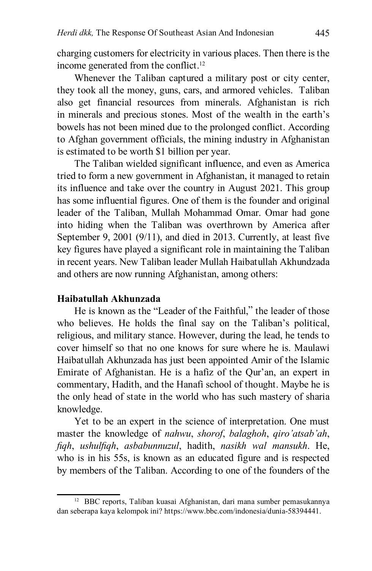charging customers for electricity in various places. Then there is the income generated from the conflict.<sup>12</sup>

Whenever the Taliban captured a military post or city center, they took all the money, guns, cars, and armored vehicles. Taliban also get financial resources from minerals. Afghanistan is rich in minerals and precious stones. Most of the wealth in the earth's bowels has not been mined due to the prolonged conflict. According to Afghan government officials, the mining industry in Afghanistan is estimated to be worth \$1 billion per year.

The Taliban wielded significant influence, and even as America tried to form a new government in Afghanistan, it managed to retain its influence and take over the country in August 2021. This group has some influential figures. One of them is the founder and original leader of the Taliban, Mullah Mohammad Omar. Omar had gone into hiding when the Taliban was overthrown by America after September 9, 2001 (9/11), and died in 2013. Currently, at least five key figures have played a significant role in maintaining the Taliban in recent years. New Taliban leader Mullah Haibatullah Akhundzada and others are now running Afghanistan, among others:

# **Haibatullah Akhunzada**

He is known as the "Leader of the Faithful," the leader of those who believes. He holds the final say on the Taliban's political, religious, and military stance. However, during the lead, he tends to cover himself so that no one knows for sure where he is. Maulawi Haibatullah Akhunzada has just been appointed Amir of the Islamic Emirate of Afghanistan. He is a hafiz of the Qur'an, an expert in commentary, Hadith, and the Hanafi school of thought. Maybe he is the only head of state in the world who has such mastery of sharia knowledge.

Yet to be an expert in the science of interpretation. One must master the knowledge of *nahwu*, *shorof*, *balaghoh*, *qiro'atsab'ah*, *fiqh*, *ushulfiqh*, *asbabunnuzul*, hadith, *nasikh wal mansukh*. He, who is in his 55s, is known as an educated figure and is respected by members of the Taliban. According to one of the founders of the

<sup>12</sup> BBC reports, Taliban kuasai Afghanistan, dari mana sumber pemasukannya dan seberapa kaya kelompok ini? <https://www.bbc.com/indonesia/dunia-58394441>.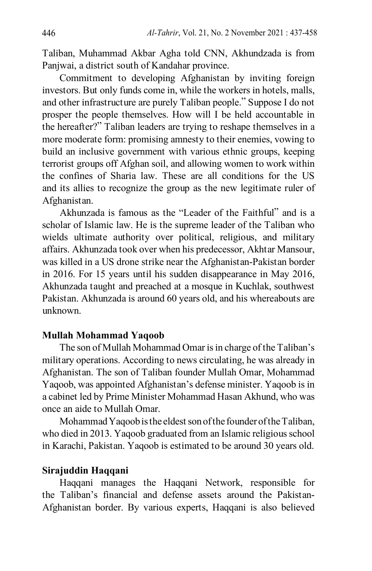Taliban, Muhammad Akbar Agha told CNN, Akhundzada is from Panjwai, a district south of Kandahar province.

Commitment to developing Afghanistan by inviting foreign investors. But only funds come in, while the workers in hotels, malls, and other infrastructure are purely Taliban people." Suppose I do not prosper the people themselves. How will I be held accountable in the hereafter?" Taliban leaders are trying to reshape themselves in a more moderate form: promising amnesty to their enemies, vowing to build an inclusive government with various ethnic groups, keeping terrorist groups off Afghan soil, and allowing women to work within the confines of Sharia law. These are all conditions for the US and its allies to recognize the group as the new legitimate ruler of Afghanistan.

Akhunzada is famous as the "Leader of the Faithful" and is a scholar of Islamic law. He is the supreme leader of the Taliban who wields ultimate authority over political, religious, and military affairs. Akhunzada took over when his predecessor, Akhtar Mansour, was killed in a US drone strike near the Afghanistan-Pakistan border in 2016. For 15 years until his sudden disappearance in May 2016, Akhunzada taught and preached at a mosque in Kuchlak, southwest Pakistan. Akhunzada is around 60 years old, and his whereabouts are unknown.

#### **Mullah Mohammad Yaqoob**

The son of Mullah Mohammad Omar is in charge of the Taliban's military operations. According to news circulating, he was already in Afghanistan. The son of Taliban founder Mullah Omar, Mohammad Yaqoob, was appointed Afghanistan's defense minister. Yaqoob is in a cabinet led by Prime Minister Mohammad Hasan Akhund, who was once an aide to Mullah Omar.

Mohammad Yaqoob is the eldest son of the founder of the Taliban, who died in 2013. Yaqoob graduated from an Islamic religious school in Karachi, Pakistan. Yaqoob is estimated to be around 30 years old.

#### **Sirajuddin Haqqani**

Haqqani manages the Haqqani Network, responsible for the Taliban's financial and defense assets around the Pakistan-Afghanistan border. By various experts, Haqqani is also believed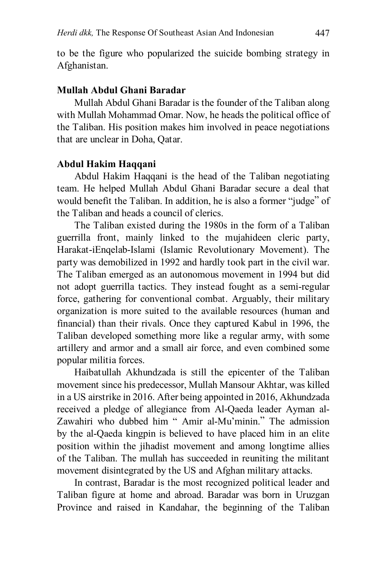to be the figure who popularized the suicide bombing strategy in Afghanistan.

## **Mullah Abdul Ghani Baradar**

Mullah Abdul Ghani Baradar is the founder of the Taliban along with Mullah Mohammad Omar. Now, he heads the political office of the Taliban. His position makes him involved in peace negotiations that are unclear in Doha, Qatar.

#### **Abdul Hakim Haqqani**

Abdul Hakim Haqqani is the head of the Taliban negotiating team. He helped Mullah Abdul Ghani Baradar secure a deal that would benefit the Taliban. In addition, he is also a former "judge" of the Taliban and heads a council of clerics.

The Taliban existed during the 1980s in the form of a Taliban guerrilla front, mainly linked to the mujahideen cleric party, Harakat-iEnqelab-Islami (Islamic Revolutionary Movement). The party was demobilized in 1992 and hardly took part in the civil war. The Taliban emerged as an autonomous movement in 1994 but did not adopt guerrilla tactics. They instead fought as a semi-regular force, gathering for conventional combat. Arguably, their military organization is more suited to the available resources (human and financial) than their rivals. Once they captured Kabul in 1996, the Taliban developed something more like a regular army, with some artillery and armor and a small air force, and even combined some popular militia forces.

Haibatullah Akhundzada is still the epicenter of the Taliban movement since his predecessor, Mullah Mansour Akhtar, was killed in a US airstrike in 2016. After being appointed in 2016, Akhundzada received a pledge of allegiance from Al-Qaeda leader Ayman al-Zawahiri who dubbed him " Amir al-Mu'minin." The admission by the al-Qaeda kingpin is believed to have placed him in an elite position within the jihadist movement and among longtime allies of the Taliban. The mullah has succeeded in reuniting the militant movement disintegrated by the US and Afghan military attacks.

In contrast, Baradar is the most recognized political leader and Taliban figure at home and abroad. Baradar was born in Uruzgan Province and raised in Kandahar, the beginning of the Taliban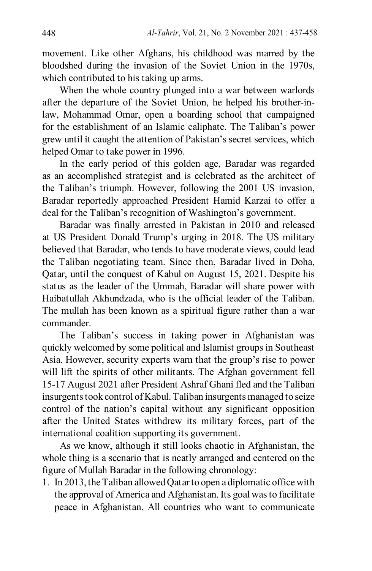movement. Like other Afghans, his childhood was marred by the bloodshed during the invasion of the Soviet Union in the 1970s, which contributed to his taking up arms.

When the whole country plunged into a war between warlords after the departure of the Soviet Union, he helped his brother-inlaw, Mohammad Omar, open a boarding school that campaigned for the establishment of an Islamic caliphate. The Taliban's power grew until it caught the attention of Pakistan's secret services, which helped Omar to take power in 1996.

In the early period of this golden age, Baradar was regarded as an accomplished strategist and is celebrated as the architect of the Taliban's triumph. However, following the 2001 US invasion, Baradar reportedly approached President Hamid Karzai to offer a deal for the Taliban's recognition of Washington's government.

Baradar was finally arrested in Pakistan in 2010 and released at US President Donald Trump's urging in 2018. The US military believed that Baradar, who tends to have moderate views, could lead the Taliban negotiating team. Since then, Baradar lived in Doha, Qatar, until the conquest of Kabul on August 15, 2021. Despite his status as the leader of the Ummah, Baradar will share power with Haibatullah Akhundzada, who is the official leader of the Taliban. The mullah has been known as a spiritual figure rather than a war commander.

The Taliban's success in taking power in Afghanistan was quickly welcomed by some political and Islamist groups in Southeast Asia. However, security experts warn that the group's rise to power will lift the spirits of other militants. The Afghan government fell 15-17 August 2021 after President Ashraf Ghani fled and the Taliban insurgents took control of Kabul. Taliban insurgents managed to seize control of the nation's capital without any significant opposition after the United States withdrew its military forces, part of the international coalition supporting its government.

As we know, although it still looks chaotic in Afghanistan, the whole thing is a scenario that is neatly arranged and centered on the figure of Mullah Baradar in the following chronology:

1. In 2013, the Taliban allowed Qatar to open a diplomatic office with the approval of America and Afghanistan. Its goal was to facilitate peace in Afghanistan. All countries who want to communicate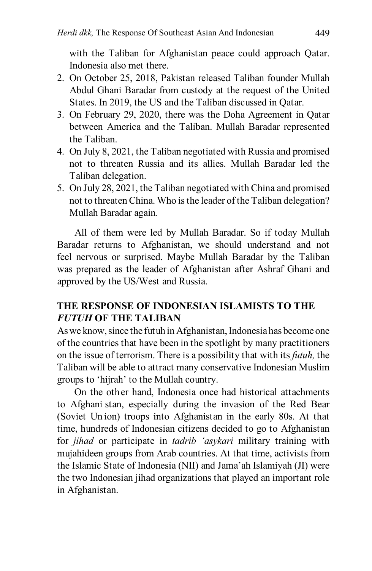with the Taliban for Afghanistan peace could approach Qatar. Indonesia also met there.

- 2. On October 25, 2018, Pakistan released Taliban founder Mullah Abdul Ghani Baradar from custody at the request of the United States. In 2019, the US and the Taliban discussed in Qatar.
- 3. On February 29, 2020, there was the Doha Agreement in Qatar between America and the Taliban. Mullah Baradar represented the Taliban.
- 4. On July 8, 2021, the Taliban negotiated with Russia and promised not to threaten Russia and its allies. Mullah Baradar led the Taliban delegation.
- 5. On July 28, 2021, the Taliban negotiated with China and promised not to threaten China. Who is the leader of the Taliban delegation? Mullah Baradar again.

All of them were led by Mullah Baradar. So if today Mullah Baradar returns to Afghanistan, we should understand and not feel nervous or surprised. Maybe Mullah Baradar by the Taliban was prepared as the leader of Afghanistan after Ashraf Ghani and approved by the US/West and Russia.

# **THE RESPONSE OF INDONESIAN ISLAMISTS TO THE**  *FUTUH* **OF THE TALIBAN**

As we know, since the futuh in Afghanistan, Indonesia has become one of the countries that have been in the spotlight by many practitioners on the issue of terrorism. There is a possibility that with its *futuh,* the Taliban will be able to attract many conservative Indonesian Muslim groups to 'hijrah' to the Mullah country.

On the other hand, Indonesia once had historical attachments to Afghani stan, especially during the invasion of the Red Bear (Soviet Un ion) troops into Afghanistan in the early 80s. At that time, hundreds of Indonesian citizens decided to go to Afghanistan for *jihad* or participate in *tadrib 'asykari* military training with mujahideen groups from Arab countries. At that time, activists from the Islamic State of Indonesia (NII) and Jama'ah Islamiyah (JI) were the two Indonesian jihad organizations that played an important role in Afghanistan.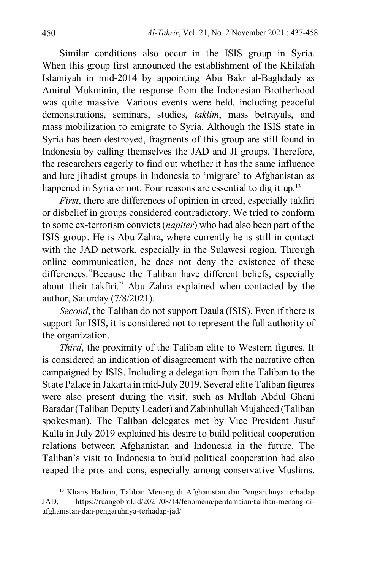Similar conditions also occur in the ISIS group in Syria. When this group first announced the establishment of the Khilafah Islamiyah in mid-2014 by appointing Abu Bakr al-Baghdady as Amirul Mukminin, the response from the Indonesian Brotherhood was quite massive. Various events were held, including peaceful demonstrations, seminars, studies, *taklim*, mass betrayals, and mass mobilization to emigrate to Syria. Although the ISIS state in Syria has been destroyed, fragments of this group are still found in Indonesia by calling themselves the JAD and JI groups. Therefore, the researchers eagerly to find out whether it has the same influence and lure jihadist groups in Indonesia to 'migrate' to Afghanistan as happened in Syria or not. Four reasons are essential to dig it up.<sup>13</sup>

*First*, there are differences of opinion in creed, especially takfiri or disbelief in groups considered contradictory. We tried to conform to some ex-terrorism convicts (*napiter*) who had also been part of the ISIS group. He is Abu Zahra, where currently he is still in contact with the JAD network, especially in the Sulawesi region. Through online communication, he does not deny the existence of these differences."Because the Taliban have different beliefs, especially about their takfiri." Abu Zahra explained when contacted by the author, Saturday (7/8/2021).

*Second*, the Taliban do not support Daula (ISIS). Even if there is support for ISIS, it is considered not to represent the full authority of the organization.

*Third*, the proximity of the Taliban elite to Western figures. It is considered an indication of disagreement with the narrative often campaigned by ISIS. Including a delegation from the Taliban to the State Palace in Jakarta in mid-July 2019. Several elite Taliban figures were also present during the visit, such as Mullah Abdul Ghani Baradar (Taliban Deputy Leader) and Zabinhullah Mujaheed (Taliban spokesman). The Taliban delegates met by Vice President Jusuf Kalla in July 2019 explained his desire to build political cooperation relations between Afghanistan and Indonesia in the future. The Taliban's visit to Indonesia to build political cooperation had also reaped the pros and cons, especially among conservative Muslims.

<sup>13</sup> Kharis Hadirin, Taliban Menang di Afghanistan dan Pengaruhnya terhadap JAD, https://ruangobrol.id/2021/08/14/fenomena/perdamaian/taliban-menang-diafghanistan-dan-pengaruhnya-terhadap-jad/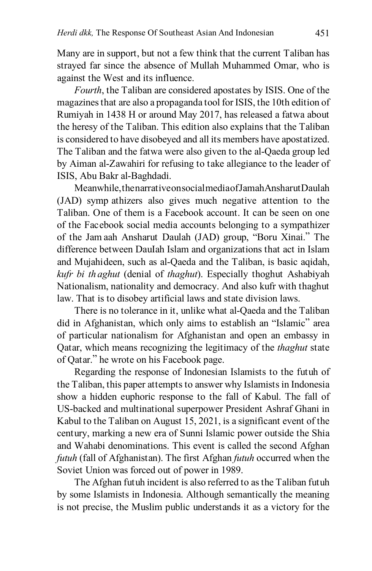Many are in support, but not a few think that the current Taliban has strayed far since the absence of Mullah Muhammed Omar, who is against the West and its influence.

*Fourth*, the Taliban are considered apostates by ISIS. One of the magazines that are also a propaganda tool for ISIS, the 10th edition of Rumiyah in 1438 H or around May 2017, has released a fatwa about the heresy of the Taliban. This edition also explains that the Taliban is considered to have disobeyed and all its members have apostatized. The Taliban and the fatwa were also given to the al-Qaeda group led by Aiman al-Zawahiri for refusing to take allegiance to the leader of ISIS, Abu Bakr al-Baghdadi.

Meanwhile, the narrative on social media of JamahAnsharutDaulah (JAD) symp athizers also gives much negative attention to the Taliban. One of them is a Facebook account. It can be seen on one of the Facebook social media accounts belonging to a sympathizer of the Jamaah Ansharut Daulah (JAD) group, "Boru Xinai." The difference between DauIah Islam and organizations that act in Islam and Mujahideen, such as al-Qaeda and the Taliban, is basic aqidah, *kufr bi th aghut* (denial of *thaghut*). Especially thoghut Ashabiyah Nationalism, nationality and democracy. And also kufr with thaghut law. That is to disobey artificial laws and state division laws.

There is no tolerance in it, unlike what al-Qaeda and the Taliban did in Afghanistan, which only aims to establish an "Islamic" area of particular nationalism for Afghanistan and open an embassy in Qatar, which means recognizing the legitimacy of the *thaghut* state of Qatar." he wrote on his Facebook page.

Regarding the response of Indonesian Islamists to the futuh of the Taliban, this paper attempts to answer why Islamists in Indonesia show a hidden euphoric response to the fall of Kabul. The fall of US-backed and multinational superpower President Ashraf Ghani in Kabul to the Taliban on August 15, 2021, is a significant event of the century, marking a new era of Sunni Islamic power outside the Shia and Wahabi denominations. This event is called the second Afghan *futuh* (fall of Afghanistan). The first Afghan *futuh* occurred when the Soviet Union was forced out of power in 1989.

The Afghan futuh incident is also referred to as the Taliban futuh by some Islamists in Indonesia. Although semantically the meaning is not precise, the Muslim public understands it as a victory for the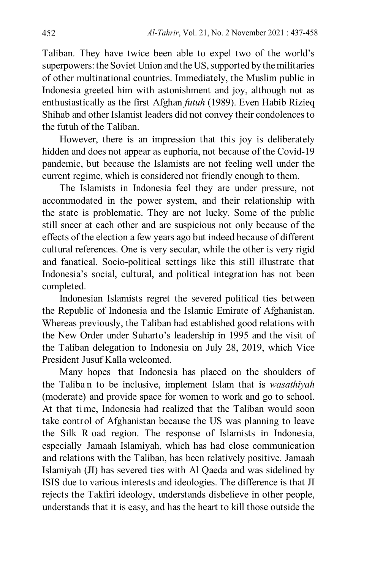Taliban. They have twice been able to expel two of the world's superpowers: the Soviet Union and the US, supported by the militaries of other multinational countries. Immediately, the Muslim public in Indonesia greeted him with astonishment and joy, although not as enthusiastically as the first Afghan *futuh* (1989). Even Habib Rizieq Shihab and other Islamist leaders did not convey their condolences to the futuh of the Taliban.

However, there is an impression that this joy is deliberately hidden and does not appear as euphoria, not because of the Covid-19 pandemic, but because the Islamists are not feeling well under the current regime, which is considered not friendly enough to them.

The Islamists in Indonesia feel they are under pressure, not accommodated in the power system, and their relationship with the state is problematic. They are not lucky. Some of the public still sneer at each other and are suspicious not only because of the effects of the election a few years ago but indeed because of different cultural references. One is very secular, while the other is very rigid and fanatical. Socio-political settings like this still illustrate that Indonesia's social, cultural, and political integration has not been completed.

Indonesian Islamists regret the severed political ties between the Republic of Indonesia and the Islamic Emirate of Afghanistan. Whereas previously, the Taliban had established good relations with the New Order under Suharto's leadership in 1995 and the visit of the Taliban delegation to Indonesia on July 28, 2019, which Vice President Jusuf Kalla welcomed.

Many hopes that Indonesia has placed on the shoulders of the Taliba n to be inclusive, implement Islam that is *wasathiyah* (moderate) and provide space for women to work and go to school. At that time, Indonesia had realized that the Taliban would soon take control of Afghanistan because the US was planning to leave the Silk R oad region. The response of Islamists in Indonesia, especially Jamaah Islamiyah, which has had close communication and relations with the Taliban, has been relatively positive. Jamaah Islamiyah (JI) has severed ties with Al Qaeda and was sidelined by ISIS due to various interests and ideologies. The difference is that JI rejects the Takfiri ideology, understands disbelieve in other people, understands that it is easy, and has the heart to kill those outside the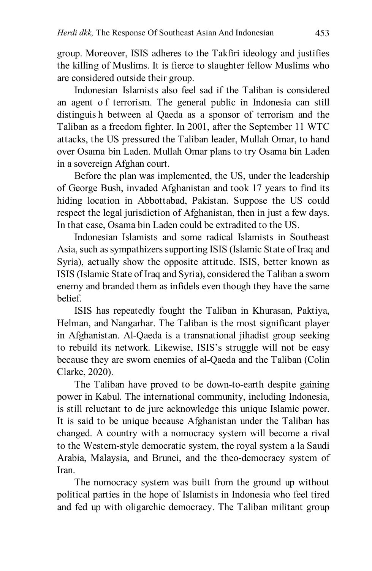group. Moreover, ISIS adheres to the Takfiri ideology and justifies the killing of Muslims. It is fierce to slaughter fellow Muslims who are considered outside their group.

Indonesian Islamists also feel sad if the Taliban is considered an agent o f terrorism. The general public in Indonesia can still distinguis h between al Qaeda as a sponsor of terrorism and the Taliban as a freedom fighter. In 2001, after the September 11 WTC attacks, the US pressured the Taliban leader, Mullah Omar, to hand over Osama bin Laden. Mullah Omar plans to try Osama bin Laden in a sovereign Afghan court.

Before the plan was implemented, the US, under the leadership of George Bush, invaded Afghanistan and took 17 years to find its hiding location in Abbottabad, Pakistan. Suppose the US could respect the legal jurisdiction of Afghanistan, then in just a few days. In that case, Osama bin Laden could be extradited to the US.

Indonesian Islamists and some radical Islamists in Southeast Asia, such as sympathizers supporting ISIS (Islamic State of Iraq and Syria), actually show the opposite attitude. ISIS, better known as ISIS (Islamic State of Iraq and Syria), considered the Taliban a sworn enemy and branded them as infidels even though they have the same belief.

ISIS has repeatedly fought the Taliban in Khurasan, Paktiya, Helman, and Nangarhar. The Taliban is the most significant player in Afghanistan. Al-Qaeda is a transnational jihadist group seeking to rebuild its network. Likewise, ISIS's struggle will not be easy because they are sworn enemies of al-Qaeda and the Taliban (Colin Clarke, 2020).

The Taliban have proved to be down-to-earth despite gaining power in Kabul. The international community, including Indonesia, is still reluctant to de jure acknowledge this unique Islamic power. It is said to be unique because Afghanistan under the Taliban has changed. A country with a nomocracy system will become a rival to the Western-style democratic system, the royal system a la Saudi Arabia, Malaysia, and Brunei, and the theo-democracy system of Iran.

The nomocracy system was built from the ground up without political parties in the hope of Islamists in Indonesia who feel tired and fed up with oligarchic democracy. The Taliban militant group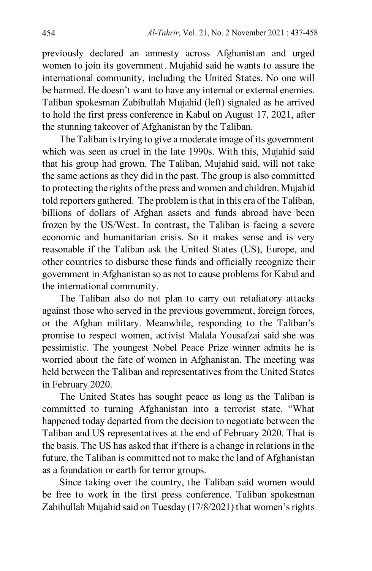previously declared an amnesty across Afghanistan and urged women to join its government. Mujahid said he wants to assure the international community, including the United States. No one will be harmed. He doesn't want to have any internal or external enemies. Taliban spokesman Zabihullah Mujahid (left) signaled as he arrived to hold the first press conference in Kabul on August 17, 2021, after the stunning takeover of Afghanistan by the Taliban.

The Taliban is trying to give a moderate image of its government which was seen as cruel in the late 1990s. With this, Mujahid said that his group had grown. The Taliban, Mujahid said, will not take the same actions as they did in the past. The group is also committed to protecting the rights of the press and women and children. Mujahid told reporters gathered. The problem is that in this era of the Taliban, billions of dollars of Afghan assets and funds abroad have been frozen by the US/West. In contrast, the Taliban is facing a severe economic and humanitarian crisis. So it makes sense and is very reasonable if the Taliban ask the United States (US), Europe, and other countries to disburse these funds and officially recognize their government in Afghanistan so as not to cause problems for Kabul and the international community.

The Taliban also do not plan to carry out retaliatory attacks against those who served in the previous government, foreign forces, or the Afghan military. Meanwhile, responding to the Taliban's promise to respect women, activist Malala Yousafzai said she was pessimistic. The youngest Nobel Peace Prize winner admits he is worried about the fate of women in Afghanistan. The meeting was held between the Taliban and representatives from the United States in February 2020.

The United States has sought peace as long as the Taliban is committed to turning Afghanistan into a terrorist state. "What happened today departed from the decision to negotiate between the Taliban and US representatives at the end of February 2020. That is the basis. The US has asked that if there is a change in relations in the future, the Taliban is committed not to make the land of Afghanistan as a foundation or earth for terror groups.

Since taking over the country, the Taliban said women would be free to work in the first press conference. Taliban spokesman Zabihullah Mujahid said on Tuesday (17/8/2021) that women's rights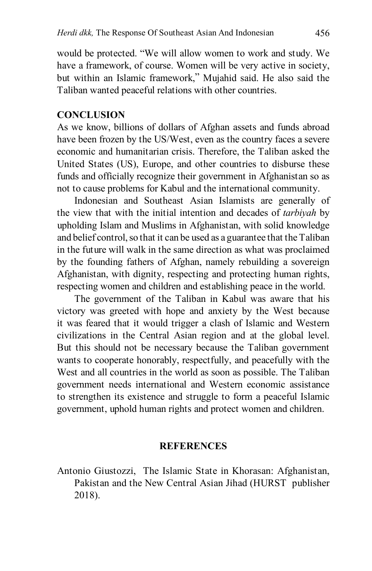would be protected. "We will allow women to work and study. We have a framework, of course. Women will be very active in society, but within an Islamic framework," Mujahid said. He also said the Taliban wanted peaceful relations with other countries.

#### **CONCLUSION**

As we know, billions of dollars of Afghan assets and funds abroad have been frozen by the US/West, even as the country faces a severe economic and humanitarian crisis. Therefore, the Taliban asked the United States (US), Europe, and other countries to disburse these funds and officially recognize their government in Afghanistan so as not to cause problems for Kabul and the international community.

Indonesian and Southeast Asian Islamists are generally of the view that with the initial intention and decades of *tarbiyah* by upholding Islam and Muslims in Afghanistan, with solid knowledge and belief control, so that it can be used as a guarantee that the Taliban in the future will walk in the same direction as what was proclaimed by the founding fathers of Afghan, namely rebuilding a sovereign Afghanistan, with dignity, respecting and protecting human rights, respecting women and children and establishing peace in the world.

The government of the Taliban in Kabul was aware that his victory was greeted with hope and anxiety by the West because it was feared that it would trigger a clash of Islamic and Western civilizations in the Central Asian region and at the global level. But this should not be necessary because the Taliban government wants to cooperate honorably, respectfully, and peacefully with the West and all countries in the world as soon as possible. The Taliban government needs international and Western economic assistance to strengthen its existence and struggle to form a peaceful Islamic government, uphold human rights and protect women and children.

#### **REFERENCES**

Antonio Giustozzi, The Islamic State in Khorasan: Afghanistan, Pakistan and the New Central Asian Jihad (HURST publisher 2018).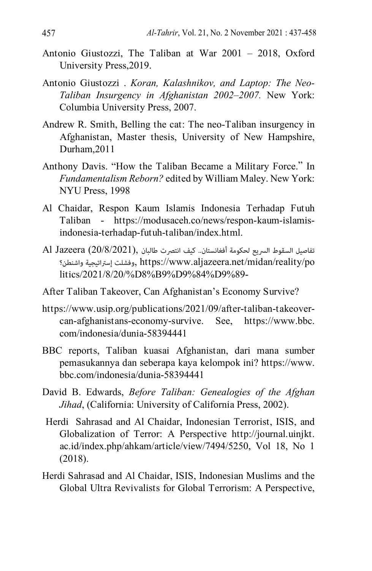- Antonio Giustozzi, The Taliban at War 2001 2018, Oxford University Press,2019.
- Antonio Giustozzi . *Koran, Kalashnikov, and Laptop: The Neo-Taliban Insurgency in Afghanistan 2002–2007.* New York: Columbia University Press, 2007.
- Andrew R. Smith, Belling the cat: The neo-Taliban insurgency in Afghanistan, Master thesis, University of New Hampshire, Durham,2011
- Anthony Davis. "How the Taliban Became a Military Force." In *Fundamentalism Reborn?* edited by William Maley. New York: NYU Press, 1998
- Al Chaidar, Respon Kaum Islamis Indonesia Terhadap Futuh Taliban - [https://modusaceh.co/news/respon-kaum-islamis](https://modusaceh.co/news/respon-kaum-islamis-indonesia-terhadap-futuh-taliban/index.html)[indonesia-terhadap-futuh-taliban/index.html](https://modusaceh.co/news/respon-kaum-islamis-indonesia-terhadap-futuh-taliban/index.html).
- $\text{Al Jazeera}$  (20/8/2021), تفاصيل السقوط السريع لحكومة أفغانستان.. كيف انتصرت طالبان واشنطن؟ إسرتاتيجية وفشلت, [https://www.aljazeera.net/midan/reality/po](https://www.aljazeera.net/midan/reality/politics/2021/8/20/%D8%B9%D9%84%D9%89-%D8%B7%D8%B1%D9%8A%D9%82%D8%A9-%D8%A5%D9%8A%D8%B1%D8%A7%D9%86-%D9%87%D9%83%D8%B0%D8%A7-%D8%A7%D9%86%D8%AA%D8%B5%D8%B1%D8%AA-%D8%B7%D8%A7%D9%84%D8%A8%D8%A7%D9%86) [litics/2021/8/20/%D8%B9%D9%84%D9%89-](https://www.aljazeera.net/midan/reality/politics/2021/8/20/%D8%B9%D9%84%D9%89-%D8%B7%D8%B1%D9%8A%D9%82%D8%A9-%D8%A5%D9%8A%D8%B1%D8%A7%D9%86-%D9%87%D9%83%D8%B0%D8%A7-%D8%A7%D9%86%D8%AA%D8%B5%D8%B1%D8%AA-%D8%B7%D8%A7%D9%84%D8%A8%D8%A7%D9%86)
- After Taliban Takeover, Can Afghanistan's Economy Survive?
- [https://www.usip.org/publications/2021/09/after-taliban-takeover](https://www.usip.org/publications/2021/09/after-taliban-takeover-can-afghanistans-economy-survive)[can-afghanistans-economy-survive](https://www.usip.org/publications/2021/09/after-taliban-takeover-can-afghanistans-economy-survive). See, [https://www.bbc.](https://www.bbc.com/indonesia/dunia-58394441) [com/indonesia/dunia-58394441](https://www.bbc.com/indonesia/dunia-58394441)
- BBC reports, Taliban kuasai Afghanistan, dari mana sumber pemasukannya dan seberapa kaya kelompok ini? [https://www.](https://www.bbc.com/indonesia/dunia-58394441) [bbc.com/indonesia/dunia-58394441](https://www.bbc.com/indonesia/dunia-58394441)
- David B. Edwards, *Before Taliban: Genealogies of the Afghan Jihad*, (California: University of California Press, 2002).
- Herdi Sahrasad and Al Chaidar, Indonesian Terrorist, ISIS, and Globalization of Terror: A Perspective http://journal.uinjkt. ac.id/index.php/ahkam/article/view/7494/5250, Vol 18, No 1 (2018).
- Herdi Sahrasad and Al Chaidar, ISIS, Indonesian Muslims and the Global Ultra Revivalists for Global Terrorism: A Perspective,